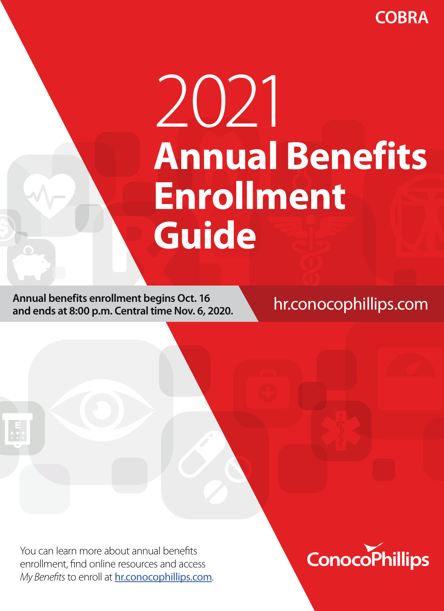**COBRA**

# 2021 **Annual Benefits Enrollment Guide**

**Annual benefits enrollment begins Oct. 16 and ends at 8:00 p.m. Central time Nov. 6, 2020.** hr.conocophillips.com

You can learn more about annual benefits enrollment, find online resources and access *My Benefits* to enroll at **hr.conocophillips.com**. ConocoPhillips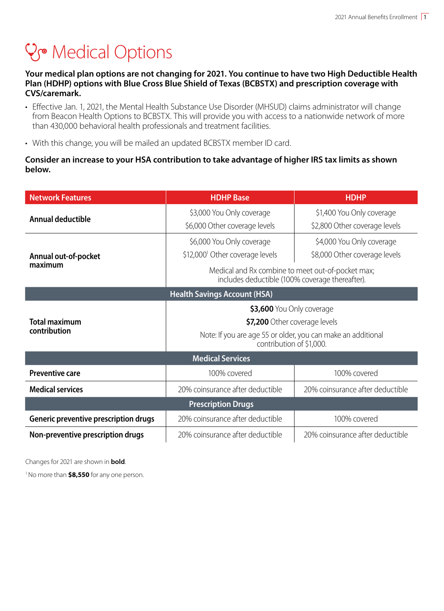## **V<sub>®</sub>** Medical Options

**Your medical plan options are not changing for 2021. You continue to have two High Deductible Health Plan (HDHP) options with Blue Cross Blue Shield of Texas (BCBSTX) and prescription coverage with CVS/caremark.** 

- Effective Jan. 1, 2021, the Mental Health Substance Use Disorder (MHSUD) claims administrator will change from Beacon Health Options to BCBSTX. This will provide you with access to a nationwide network of more than 430,000 behavioral health professionals and treatment facilities.
- With this change, you will be mailed an updated BCBSTX member ID card.

#### **Consider an increase to your HSA contribution to take advantage of higher IRS tax limits as shown below.**

| <b>Network Features</b>               | <b>HDHP Base</b>                                                                                                                                                                                                                               | <b>HDHP</b>                                                |  |  |  |  |  |
|---------------------------------------|------------------------------------------------------------------------------------------------------------------------------------------------------------------------------------------------------------------------------------------------|------------------------------------------------------------|--|--|--|--|--|
| Annual deductible                     | \$3,000 You Only coverage<br>\$6,000 Other coverage levels                                                                                                                                                                                     | \$1,400 You Only coverage<br>\$2,800 Other coverage levels |  |  |  |  |  |
| Annual out-of-pocket<br>maximum       | \$6,000 You Only coverage<br>\$4,000 You Only coverage<br>\$12,000 <sup>1</sup> Other coverage levels<br>\$8,000 Other coverage levels<br>Medical and Rx combine to meet out-of-pocket max;<br>includes deductible (100% coverage thereafter). |                                                            |  |  |  |  |  |
| <b>Health Savings Account (HSA)</b>   |                                                                                                                                                                                                                                                |                                                            |  |  |  |  |  |
| <b>Total maximum</b><br>contribution  | \$3,600 You Only coverage<br>\$7,200 Other coverage levels<br>Note: If you are age 55 or older, you can make an additional<br>contribution of \$1,000.                                                                                         |                                                            |  |  |  |  |  |
| <b>Medical Services</b>               |                                                                                                                                                                                                                                                |                                                            |  |  |  |  |  |
| <b>Preventive care</b>                | 100% covered                                                                                                                                                                                                                                   | 100% covered                                               |  |  |  |  |  |
| <b>Medical services</b>               | 20% coinsurance after deductible<br>20% coinsurance after deductible                                                                                                                                                                           |                                                            |  |  |  |  |  |
| <b>Prescription Drugs</b>             |                                                                                                                                                                                                                                                |                                                            |  |  |  |  |  |
| Generic preventive prescription drugs | 20% coinsurance after deductible<br>100% covered                                                                                                                                                                                               |                                                            |  |  |  |  |  |
| Non-preventive prescription drugs     | 20% coinsurance after deductible                                                                                                                                                                                                               | 20% coinsurance after deductible                           |  |  |  |  |  |

Changes for 2021 are shown in **bold**.

1 No more than **\$8,550** for any one person.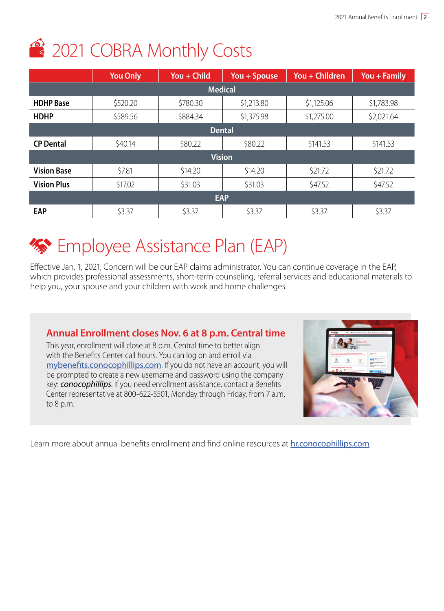# 2021 COBRA Monthly Costs

|                    | <b>You Only</b> | You + Child | $You + Spouse$ | You + Children | You + Family |  |
|--------------------|-----------------|-------------|----------------|----------------|--------------|--|
| <b>Medical</b>     |                 |             |                |                |              |  |
| <b>HDHP</b> Base   | \$520.20        | \$780.30    | \$1,213.80     | \$1,125.06     | \$1,783.98   |  |
| <b>HDHP</b>        | \$589.56        | \$884.34    | \$1,375.98     | \$1,275.00     | \$2,021.64   |  |
| <b>Dental</b>      |                 |             |                |                |              |  |
| <b>CP Dental</b>   | \$40.14         | \$80.22     | \$80.22        | \$141.53       | \$141.53     |  |
| <b>Vision</b>      |                 |             |                |                |              |  |
| <b>Vision Base</b> | \$7.81          | \$14.20     | \$14.20        | \$21.72        | \$21.72      |  |
| <b>Vision Plus</b> | \$17.02         | \$31.03     | \$31.03        | \$47.52        | \$47.52      |  |
| <b>EAP</b>         |                 |             |                |                |              |  |
| <b>EAP</b>         | \$3.37          | \$3.37      | \$3.37         | \$3.37         | \$3.37       |  |

## **Employee Assistance Plan (EAP)**

Effective Jan. 1, 2021, Concern will be our EAP claims administrator. You can continue coverage in the EAP, which provides professional assessments, short-term counseling, referral services and educational materials to help you, your spouse and your children with work and home challenges.

## **Annual Enrollment closes Nov. 6 at 8 p.m. Central time**

This year, enrollment will close at 8 p.m. Central time to better align with the Benefits Center call hours. You can log on and enroll via mybenefits.conocophillips.com. If you do not have an account, you will be prompted to create a new username and password using the company key: *conocophillips*. If you need enrollment assistance, contact a Benefits Center representative at 800-622-5501, Monday through Friday, from 7 a.m. to 8 p.m.



Learn more about annual benefits enrollment and find online resources at **hr.conocophillips.com**.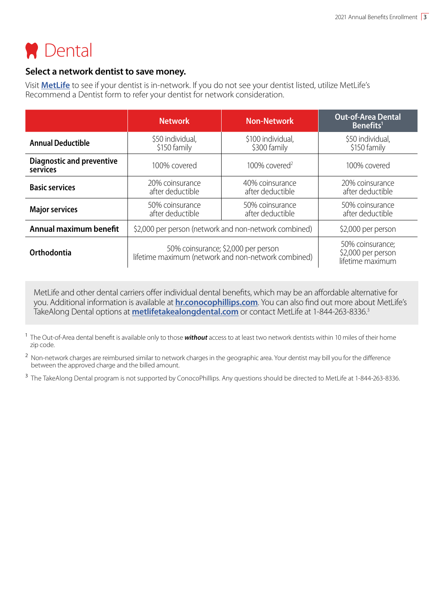

### **Select a network dentist to save money.**

Visit **MetLife** to see if your dentist is in-network. If you do not see your dentist listed, utilize MetLife's Recommend a Dentist form to refer your dentist for network consideration.

|                                              | <b>Network</b>                                                                             | <b>Non-Network</b>                  | <b>Out-of-Area Dental</b><br>Benefits <sup>1</sup>         |
|----------------------------------------------|--------------------------------------------------------------------------------------------|-------------------------------------|------------------------------------------------------------|
| <b>Annual Deductible</b>                     | \$50 individual,<br>\$150 family                                                           | \$100 individual,<br>\$300 family   | \$50 individual,<br>\$150 family                           |
| <b>Diagnostic and preventive</b><br>services | 100% covered                                                                               | $100\%$ covered <sup>2</sup>        | 100% covered                                               |
| <b>Basic services</b>                        | 20% coinsurance<br>after deductible                                                        | 40% coinsurance<br>after deductible | 20% coinsurance<br>after deductible                        |
| <b>Major services</b>                        | 50% coinsurance<br>after deductible                                                        | 50% coinsurance<br>after deductible | 50% coinsurance<br>after deductible                        |
| Annual maximum benefit                       | \$2,000 per person (network and non-network combined)                                      |                                     | \$2,000 per person                                         |
| Orthodontia                                  | 50% coinsurance; \$2,000 per person<br>lifetime maximum (network and non-network combined) |                                     | 50% coinsurance:<br>\$2,000 per person<br>lifetime maximum |

MetLife and other dental carriers offer individual dental benefits, which may be an affordable alternative for you. Additional information is available at **hr.conocophillips.com**. You can also find out more about MetLife's TakeAlong Dental options at **metlifetakealongdental.com** or contact MetLife at 1-844-263-8336.3

1 The Out-of-Area dental benefit is available only to those *without* access to at least two network dentists within 10 miles of their home zip code.

<sup>2</sup> Non-network charges are reimbursed similar to network charges in the geographic area. Your dentist may bill you for the difference between the approved charge and the billed amount.

<sup>3</sup> The TakeAlong Dental program is not supported by ConocoPhillips. Any questions should be directed to MetLife at 1-844-263-8336.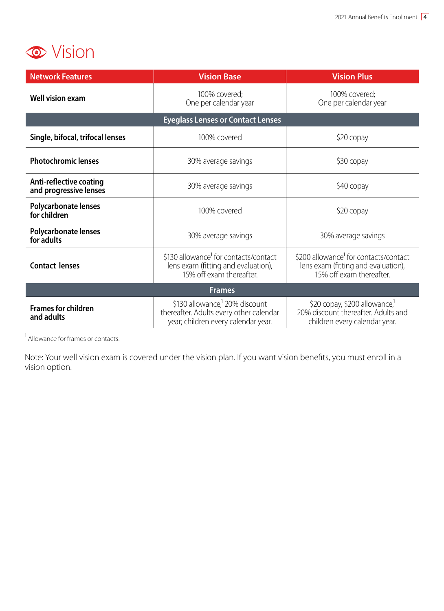

| <b>Network Features</b>                           | <b>Vision Base</b>                                                                                                           | <b>Vision Plus</b>                                                                                                   |  |  |  |  |
|---------------------------------------------------|------------------------------------------------------------------------------------------------------------------------------|----------------------------------------------------------------------------------------------------------------------|--|--|--|--|
| <b>Well vision exam</b>                           | 100% covered;<br>One per calendar year                                                                                       | 100% covered;<br>One per calendar year                                                                               |  |  |  |  |
| <b>Eyeglass Lenses or Contact Lenses</b>          |                                                                                                                              |                                                                                                                      |  |  |  |  |
| Single, bifocal, trifocal lenses                  | 100% covered                                                                                                                 | \$20 copay                                                                                                           |  |  |  |  |
| <b>Photochromic lenses</b>                        | 30% average savings                                                                                                          | \$30 copay                                                                                                           |  |  |  |  |
| Anti-reflective coating<br>and progressive lenses | 30% average savings                                                                                                          | \$40 copay                                                                                                           |  |  |  |  |
| Polycarbonate lenses<br>for children              | 100% covered                                                                                                                 | \$20 copay                                                                                                           |  |  |  |  |
| <b>Polycarbonate lenses</b><br>for adults         | 30% average savings                                                                                                          | 30% average savings                                                                                                  |  |  |  |  |
| Contact lenses                                    | \$130 allowance <sup>1</sup> for contacts/contact<br>lens exam (fitting and evaluation),<br>15% off exam thereafter.         | \$200 allowance <sup>1</sup> for contacts/contact<br>lens exam (fitting and evaluation),<br>15% off exam thereafter. |  |  |  |  |
| <b>Frames</b>                                     |                                                                                                                              |                                                                                                                      |  |  |  |  |
| <b>Frames for children</b><br>and adults          | \$130 allowance, <sup>1</sup> 20% discount<br>thereafter. Adults every other calendar<br>year; children every calendar year. | \$20 copay, \$200 allowance,<br>20% discount thereafter. Adults and<br>children every calendar year.                 |  |  |  |  |

1 Allowance for frames or contacts.

Note: Your well vision exam is covered under the vision plan. If you want vision benefits, you must enroll in a vision option.